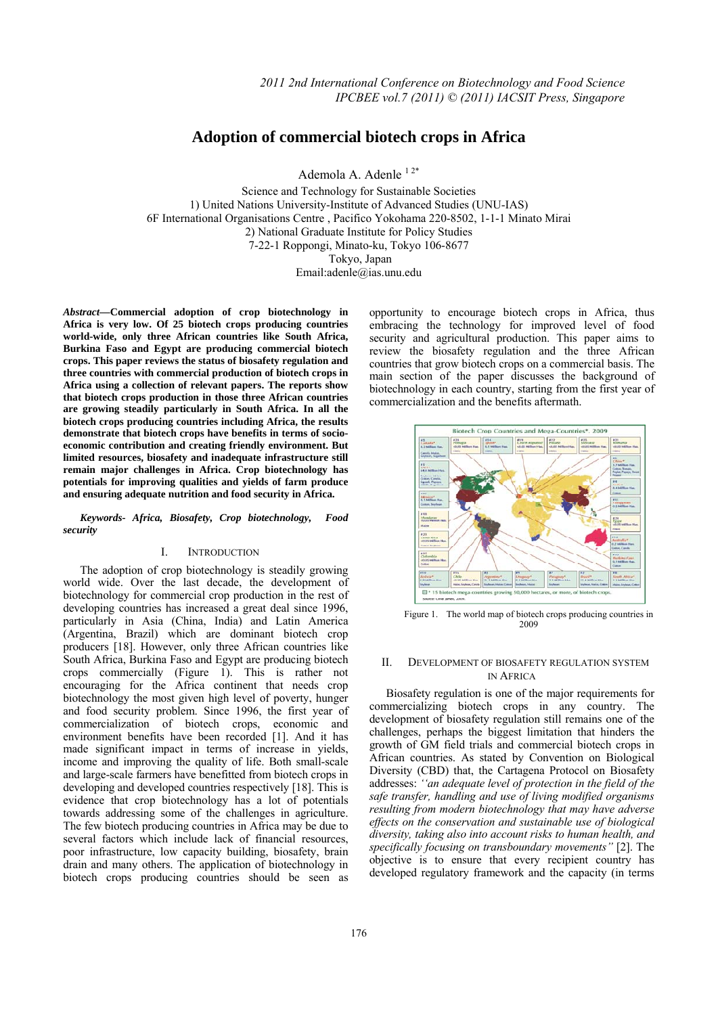# **Adoption of commercial biotech crops in Africa**

Ademola A. Adenle 12\*

Science and Technology for Sustainable Societies 1) United Nations University-Institute of Advanced Studies (UNU-IAS) 6F International Organisations Centre , Pacifico Yokohama 220-8502, 1-1-1 Minato Mirai 2) National Graduate Institute for Policy Studies 7-22-1 Roppongi, Minato-ku, Tokyo 106-8677 Tokyo, Japan Email:adenle@ias.unu.edu

*Abstract***—Commercial adoption of crop biotechnology in Africa is very low. Of 25 biotech crops producing countries world-wide, only three African countries like South Africa, Burkina Faso and Egypt are producing commercial biotech crops. This paper reviews the status of biosafety regulation and three countries with commercial production of biotech crops in Africa using a collection of relevant papers. The reports show that biotech crops production in those three African countries are growing steadily particularly in South Africa. In all the biotech crops producing countries including Africa, the results demonstrate that biotech crops have benefits in terms of socioeconomic contribution and creating friendly environment. But limited resources, biosafety and inadequate infrastructure still remain major challenges in Africa. Crop biotechnology has potentials for improving qualities and yields of farm produce and ensuring adequate nutrition and food security in Africa.** 

*Keywords- Africa, Biosafety, Crop biotechnology, Food security* 

# I. INTRODUCTION

The adoption of crop biotechnology is steadily growing world wide. Over the last decade, the development of biotechnology for commercial crop production in the rest of developing countries has increased a great deal since 1996, particularly in Asia (China, India) and Latin America (Argentina, Brazil) which are dominant biotech crop producers [18]. However, only three African countries like South Africa, Burkina Faso and Egypt are producing biotech crops commercially (Figure 1). This is rather not encouraging for the Africa continent that needs crop biotechnology the most given high level of poverty, hunger and food security problem. Since 1996, the first year of commercialization of biotech crops, economic and environment benefits have been recorded [1]. And it has made significant impact in terms of increase in yields, income and improving the quality of life. Both small-scale and large-scale farmers have benefitted from biotech crops in developing and developed countries respectively [18]. This is evidence that crop biotechnology has a lot of potentials towards addressing some of the challenges in agriculture. The few biotech producing countries in Africa may be due to several factors which include lack of financial resources, poor infrastructure, low capacity building, biosafety, brain drain and many others. The application of biotechnology in biotech crops producing countries should be seen as

opportunity to encourage biotech crops in Africa, thus embracing the technology for improved level of food security and agricultural production. This paper aims to review the biosafety regulation and the three African countries that grow biotech crops on a commercial basis. The main section of the paper discusses the background of biotechnology in each country, starting from the first year of commercialization and the benefits aftermath.



Figure 1. The world map of biotech crops producing countries in 2009

## II. DEVELOPMENT OF BIOSAFETY REGULATION SYSTEM IN AFRICA

Biosafety regulation is one of the major requirements for commercializing biotech crops in any country. The development of biosafety regulation still remains one of the challenges, perhaps the biggest limitation that hinders the growth of GM field trials and commercial biotech crops in African countries. As stated by Convention on Biological Diversity (CBD) that, the Cartagena Protocol on Biosafety addresses: *''an adequate level of protection in the field of the safe transfer, handling and use of living modified organisms resulting from modern biotechnology that may have adverse effects on the conservation and sustainable use of biological diversity, taking also into account risks to human health, and specifically focusing on transboundary movements"* [2]. The objective is to ensure that every recipient country has developed regulatory framework and the capacity (in terms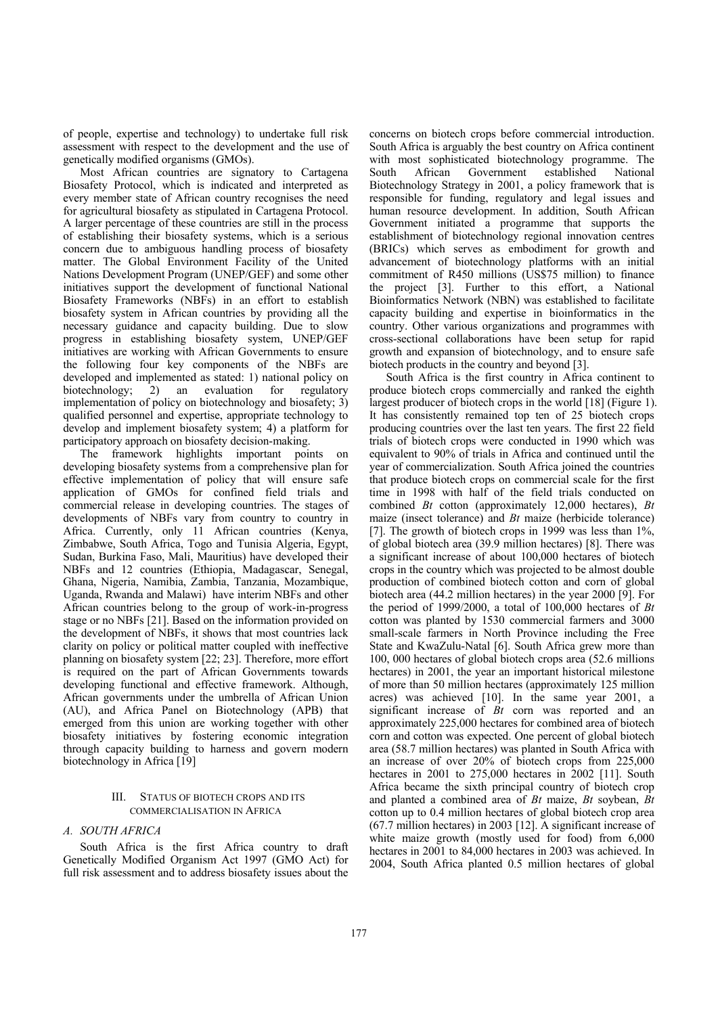of people, expertise and technology) to undertake full risk assessment with respect to the development and the use of genetically modified organisms (GMOs).

Most African countries are signatory to Cartagena Biosafety Protocol, which is indicated and interpreted as every member state of African country recognises the need for agricultural biosafety as stipulated in Cartagena Protocol. A larger percentage of these countries are still in the process of establishing their biosafety systems, which is a serious concern due to ambiguous handling process of biosafety matter. The Global Environment Facility of the United Nations Development Program (UNEP/GEF) and some other initiatives support the development of functional National Biosafety Frameworks (NBFs) in an effort to establish biosafety system in African countries by providing all the necessary guidance and capacity building. Due to slow progress in establishing biosafety system, UNEP/GEF initiatives are working with African Governments to ensure the following four key components of the NBFs are developed and implemented as stated: 1) national policy on biotechnology; 2) an evaluation for regulatory implementation of policy on biotechnology and biosafety; 3) qualified personnel and expertise, appropriate technology to develop and implement biosafety system; 4) a platform for participatory approach on biosafety decision-making.

The framework highlights important points on developing biosafety systems from a comprehensive plan for effective implementation of policy that will ensure safe application of GMOs for confined field trials and commercial release in developing countries. The stages of developments of NBFs vary from country to country in Africa. Currently, only 11 African countries (Kenya, Zimbabwe, South Africa, Togo and Tunisia Algeria, Egypt, Sudan, Burkina Faso, Mali, Mauritius) have developed their NBFs and 12 countries (Ethiopia, Madagascar, Senegal, Ghana, Nigeria, Namibia, Zambia, Tanzania, Mozambique, Uganda, Rwanda and Malawi) have interim NBFs and other African countries belong to the group of work-in-progress stage or no NBFs [21]. Based on the information provided on the development of NBFs, it shows that most countries lack clarity on policy or political matter coupled with ineffective planning on biosafety system [22; 23]. Therefore, more effort is required on the part of African Governments towards developing functional and effective framework. Although, African governments under the umbrella of African Union (AU), and Africa Panel on Biotechnology (APB) that emerged from this union are working together with other biosafety initiatives by fostering economic integration through capacity building to harness and govern modern biotechnology in Africa [19]

# III. STATUS OF BIOTECH CROPS AND ITS COMMERCIALISATION IN AFRICA

# *A. SOUTH AFRICA*

South Africa is the first Africa country to draft Genetically Modified Organism Act 1997 (GMO Act) for full risk assessment and to address biosafety issues about the

concerns on biotech crops before commercial introduction. South Africa is arguably the best country on Africa continent with most sophisticated biotechnology programme. The South African Government established National Biotechnology Strategy in 2001, a policy framework that is responsible for funding, regulatory and legal issues and human resource development. In addition, South African Government initiated a programme that supports the establishment of biotechnology regional innovation centres (BRICs) which serves as embodiment for growth and advancement of biotechnology platforms with an initial commitment of R450 millions (US\$75 million) to finance the project [3]. Further to this effort, a National Bioinformatics Network (NBN) was established to facilitate capacity building and expertise in bioinformatics in the country. Other various organizations and programmes with cross-sectional collaborations have been setup for rapid growth and expansion of biotechnology, and to ensure safe biotech products in the country and beyond [3].

South Africa is the first country in Africa continent to produce biotech crops commercially and ranked the eighth largest producer of biotech crops in the world [18] (Figure 1). It has consistently remained top ten of 25 biotech crops producing countries over the last ten years. The first 22 field trials of biotech crops were conducted in 1990 which was equivalent to 90% of trials in Africa and continued until the year of commercialization. South Africa joined the countries that produce biotech crops on commercial scale for the first time in 1998 with half of the field trials conducted on combined *Bt* cotton (approximately 12,000 hectares), *Bt* maize (insect tolerance) and *Bt* maize (herbicide tolerance) [7]. The growth of biotech crops in 1999 was less than 1%, of global biotech area (39.9 million hectares) [8]. There was a significant increase of about 100,000 hectares of biotech crops in the country which was projected to be almost double production of combined biotech cotton and corn of global biotech area (44.2 million hectares) in the year 2000 [9]. For the period of 1999/2000, a total of 100,000 hectares of *Bt* cotton was planted by 1530 commercial farmers and 3000 small-scale farmers in North Province including the Free State and KwaZulu-Natal [6]. South Africa grew more than 100, 000 hectares of global biotech crops area (52.6 millions hectares) in 2001, the year an important historical milestone of more than 50 million hectares (approximately 125 million acres) was achieved [10]. In the same year 2001, a significant increase of *Bt* corn was reported and an approximately 225,000 hectares for combined area of biotech corn and cotton was expected. One percent of global biotech area (58.7 million hectares) was planted in South Africa with an increase of over 20% of biotech crops from 225,000 hectares in 2001 to 275,000 hectares in 2002 [11]. South Africa became the sixth principal country of biotech crop and planted a combined area of *Bt* maize, *Bt* soybean, *Bt*  cotton up to 0.4 million hectares of global biotech crop area (67.7 million hectares) in 2003 [12]. A significant increase of white maize growth (mostly used for food) from 6,000 hectares in 2001 to 84,000 hectares in 2003 was achieved. In 2004, South Africa planted 0.5 million hectares of global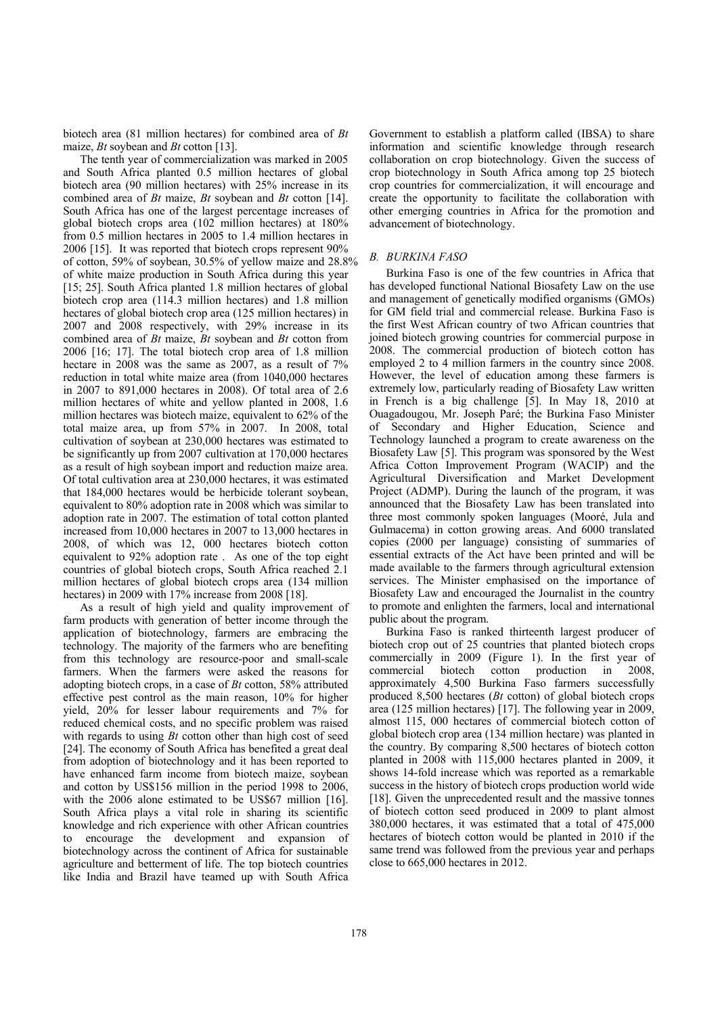biotech area (81 million hectares) for combined area of *Bt* maize, *Bt* soybean and *Bt* cotton [13].

The tenth year of commercialization was marked in 2005 and South Africa planted 0.5 million hectares of global biotech area (90 million hectares) with 25% increase in its combined area of *Bt* maize, *Bt* soybean and *Bt* cotton [14]. South Africa has one of the largest percentage increases of global biotech crops area (102 million hectares) at 180% from 0.5 million hectares in 2005 to 1.4 million hectares in 2006 [15]. It was reported that biotech crops represent 90% of cotton, 59% of soybean, 30.5% of yellow maize and 28.8% of white maize production in South Africa during this year [15; 25]. South Africa planted 1.8 million hectares of global biotech crop area (114.3 million hectares) and 1.8 million hectares of global biotech crop area (125 million hectares) in 2007 and 2008 respectively, with 29% increase in its combined area of *Bt* maize, *Bt* soybean and *Bt* cotton from 2006 [16; 17]. The total biotech crop area of 1.8 million hectare in 2008 was the same as  $2007$ , as a result of  $7\%$ reduction in total white maize area (from 1040,000 hectares in 2007 to 891,000 hectares in 2008). Of total area of 2.6 million hectares of white and yellow planted in 2008, 1.6 million hectares was biotech maize, equivalent to 62% of the total maize area, up from 57% in 2007. In 2008, total cultivation of soybean at 230,000 hectares was estimated to be significantly up from 2007 cultivation at 170,000 hectares as a result of high soybean import and reduction maize area. Of total cultivation area at 230,000 hectares, it was estimated that 184,000 hectares would be herbicide tolerant soybean, equivalent to 80% adoption rate in 2008 which was similar to adoption rate in 2007. The estimation of total cotton planted increased from 10,000 hectares in 2007 to 13,000 hectares in 2008, of which was 12, 000 hectares biotech cotton equivalent to 92% adoption rate . As one of the top eight countries of global biotech crops, South Africa reached 2.1 million hectares of global biotech crops area (134 million hectares) in 2009 with 17% increase from 2008 [18].

As a result of high yield and quality improvement of farm products with generation of better income through the application of biotechnology, farmers are embracing the technology. The majority of the farmers who are benefiting from this technology are resource-poor and small-scale farmers. When the farmers were asked the reasons for adopting biotech crops, in a case of *Bt* cotton, 58% attributed effective pest control as the main reason, 10% for higher yield, 20% for lesser labour requirements and 7% for reduced chemical costs, and no specific problem was raised with regards to using *Bt* cotton other than high cost of seed [24]. The economy of South Africa has benefited a great deal from adoption of biotechnology and it has been reported to have enhanced farm income from biotech maize, soybean and cotton by US\$156 million in the period 1998 to 2006, with the 2006 alone estimated to be US\$67 million [16]. South Africa plays a vital role in sharing its scientific knowledge and rich experience with other African countries to encourage the development and expansion of biotechnology across the continent of Africa for sustainable agriculture and betterment of life. The top biotech countries like India and Brazil have teamed up with South Africa

Government to establish a platform called (IBSA) to share information and scientific knowledge through research collaboration on crop biotechnology. Given the success of crop biotechnology in South Africa among top 25 biotech crop countries for commercialization, it will encourage and create the opportunity to facilitate the collaboration with other emerging countries in Africa for the promotion and advancement of biotechnology.

## *B. BURKINA FASO*

Burkina Faso is one of the few countries in Africa that has developed functional National Biosafety Law on the use and management of genetically modified organisms (GMOs) for GM field trial and commercial release. Burkina Faso is the first West African country of two African countries that joined biotech growing countries for commercial purpose in 2008. The commercial production of biotech cotton has employed 2 to 4 million farmers in the country since 2008. However, the level of education among these farmers is extremely low, particularly reading of Biosafety Law written in French is a big challenge [5]. In May 18, 2010 at Ouagadougou, Mr. Joseph Paré; the Burkina Faso Minister of Secondary and Higher Education, Science and Technology launched a program to create awareness on the Biosafety Law [5]. This program was sponsored by the West Africa Cotton Improvement Program (WACIP) and the Agricultural Diversification and Market Development Project (ADMP). During the launch of the program, it was announced that the Biosafety Law has been translated into three most commonly spoken languages (Mooré, Jula and Gulmacema) in cotton growing areas. And 6000 translated copies (2000 per language) consisting of summaries of essential extracts of the Act have been printed and will be made available to the farmers through agricultural extension services. The Minister emphasised on the importance of Biosafety Law and encouraged the Journalist in the country to promote and enlighten the farmers, local and international public about the program.

Burkina Faso is ranked thirteenth largest producer of biotech crop out of 25 countries that planted biotech crops commercially in 2009 (Figure 1). In the first year of commercial biotech cotton production in 2008, approximately 4,500 Burkina Faso farmers successfully produced 8,500 hectares (*Bt* cotton) of global biotech crops area (125 million hectares) [17]. The following year in 2009, almost 115, 000 hectares of commercial biotech cotton of global biotech crop area (134 million hectare) was planted in the country. By comparing 8,500 hectares of biotech cotton planted in 2008 with 115,000 hectares planted in 2009, it shows 14-fold increase which was reported as a remarkable success in the history of biotech crops production world wide [18]. Given the unprecedented result and the massive tonnes of biotech cotton seed produced in 2009 to plant almost 380,000 hectares, it was estimated that a total of 475,000 hectares of biotech cotton would be planted in 2010 if the same trend was followed from the previous year and perhaps close to 665,000 hectares in 2012.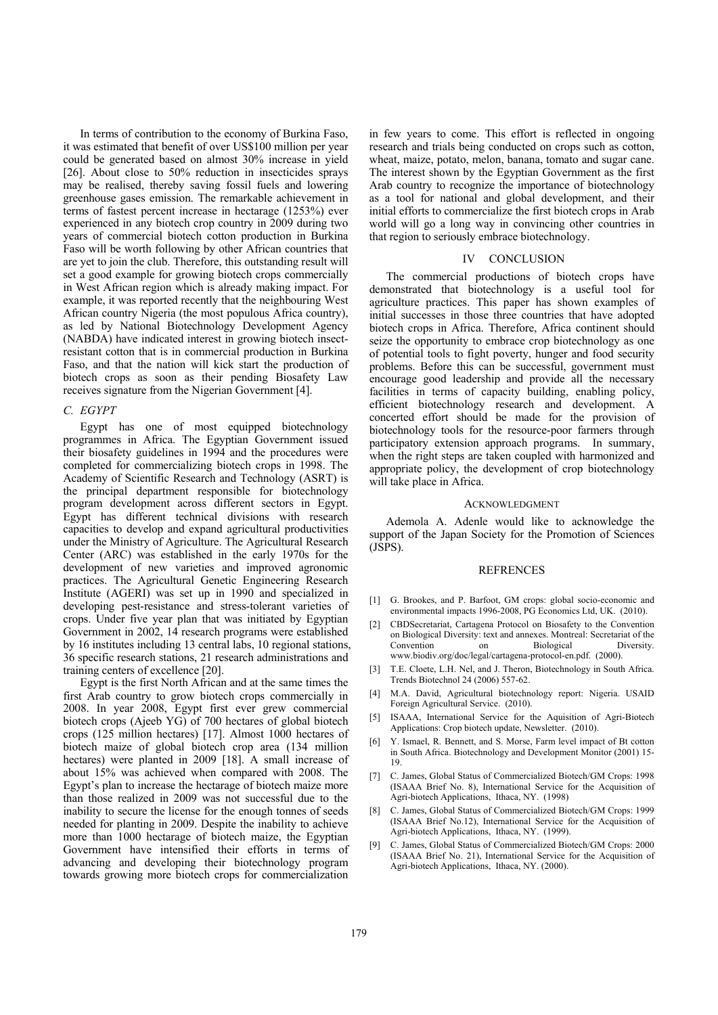In terms of contribution to the economy of Burkina Faso, it was estimated that benefit of over US\$100 million per year could be generated based on almost 30% increase in yield [26]. About close to 50% reduction in insecticides sprays may be realised, thereby saving fossil fuels and lowering greenhouse gases emission. The remarkable achievement in terms of fastest percent increase in hectarage (1253%) ever experienced in any biotech crop country in 2009 during two years of commercial biotech cotton production in Burkina Faso will be worth following by other African countries that are yet to join the club. Therefore, this outstanding result will set a good example for growing biotech crops commercially in West African region which is already making impact. For example, it was reported recently that the neighbouring West African country Nigeria (the most populous Africa country), as led by National Biotechnology Development Agency (NABDA) have indicated interest in growing biotech insectresistant cotton that is in commercial production in Burkina Faso, and that the nation will kick start the production of biotech crops as soon as their pending Biosafety Law receives signature from the Nigerian Government [4].

## *C. EGYPT*

Egypt has one of most equipped biotechnology programmes in Africa. The Egyptian Government issued their biosafety guidelines in 1994 and the procedures were completed for commercializing biotech crops in 1998. The Academy of Scientific Research and Technology (ASRT) is the principal department responsible for biotechnology program development across different sectors in Egypt. Egypt has different technical divisions with research capacities to develop and expand agricultural productivities under the Ministry of Agriculture. The Agricultural Research Center (ARC) was established in the early 1970s for the development of new varieties and improved agronomic practices. The Agricultural Genetic Engineering Research Institute (AGERI) was set up in 1990 and specialized in developing pest-resistance and stress-tolerant varieties of crops. Under five year plan that was initiated by Egyptian Government in 2002, 14 research programs were established by 16 institutes including 13 central labs, 10 regional stations, 36 specific research stations, 21 research administrations and training centers of excellence [20].

Egypt is the first North African and at the same times the first Arab country to grow biotech crops commercially in 2008. In year 2008, Egypt first ever grew commercial biotech crops (Ajeeb YG) of 700 hectares of global biotech crops (125 million hectares) [17]. Almost 1000 hectares of biotech maize of global biotech crop area (134 million hectares) were planted in 2009 [18]. A small increase of about 15% was achieved when compared with 2008. The Egypt's plan to increase the hectarage of biotech maize more than those realized in 2009 was not successful due to the inability to secure the license for the enough tonnes of seeds needed for planting in 2009. Despite the inability to achieve more than 1000 hectarage of biotech maize, the Egyptian Government have intensified their efforts in terms of advancing and developing their biotechnology program towards growing more biotech crops for commercialization

in few years to come. This effort is reflected in ongoing research and trials being conducted on crops such as cotton, wheat, maize, potato, melon, banana, tomato and sugar cane. The interest shown by the Egyptian Government as the first Arab country to recognize the importance of biotechnology as a tool for national and global development, and their initial efforts to commercialize the first biotech crops in Arab world will go a long way in convincing other countries in that region to seriously embrace biotechnology.

### IV CONCLUSION

The commercial productions of biotech crops have demonstrated that biotechnology is a useful tool for agriculture practices. This paper has shown examples of initial successes in those three countries that have adopted biotech crops in Africa. Therefore, Africa continent should seize the opportunity to embrace crop biotechnology as one of potential tools to fight poverty, hunger and food security problems. Before this can be successful, government must encourage good leadership and provide all the necessary facilities in terms of capacity building, enabling policy, efficient biotechnology research and development. A concerted effort should be made for the provision of biotechnology tools for the resource-poor farmers through participatory extension approach programs. In summary, when the right steps are taken coupled with harmonized and appropriate policy, the development of crop biotechnology will take place in Africa.

#### ACKNOWLEDGMENT

Ademola A. Adenle would like to acknowledge the support of the Japan Society for the Promotion of Sciences (JSPS).

#### REFRENCES

- [1] G. Brookes, and P. Barfoot, GM crops: global socio-economic and environmental impacts 1996-2008, PG Economics Ltd, UK. (2010).
- [2] CBDSecretariat, Cartagena Protocol on Biosafety to the Convention on Biological Diversity: text and annexes. Montreal: Secretariat of the Convention on Biological Diversity. www.biodiv.org/doc/legal/cartagena-protocol-en.pdf. (2000).
- [3] T.E. Cloete, L.H. Nel, and J. Theron, Biotechnology in South Africa. Trends Biotechnol 24 (2006) 557-62.
- [4] M.A. David, Agricultural biotechnology report: Nigeria. USAID Foreign Agricultural Service. (2010).
- [5] ISAAA, International Service for the Aquisition of Agri-Biotech Applications: Crop biotech update, Newsletter. (2010).
- [6] Y. Ismael, R. Bennett, and S. Morse, Farm level impact of Bt cotton in South Africa. Biotechnology and Development Monitor (2001) 15- 19.
- [7] C. James, Global Status of Commercialized Biotech/GM Crops: 1998 (ISAAA Brief No. 8), International Service for the Acquisition of Agri-biotech Applications, Ithaca, NY. (1998)
- [8] C. James, Global Status of Commercialized Biotech/GM Crops: 1999 (ISAAA Brief No.12), International Service for the Acquisition of Agri-biotech Applications, Ithaca, NY. (1999).
- [9] C. James, Global Status of Commercialized Biotech/GM Crops: 2000 (ISAAA Brief No. 21), International Service for the Acquisition of Agri-biotech Applications, Ithaca, NY. (2000).